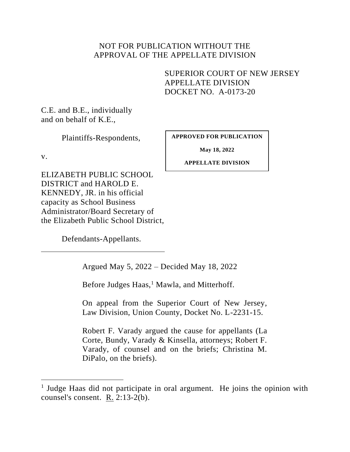# NOT FOR PUBLICATION WITHOUT THE APPROVAL OF THE APPELLATE DIVISION

SUPERIOR COURT OF NEW JERSEY APPELLATE DIVISION DOCKET NO. A-0173-20

C.E. and B.E., individually and on behalf of K.E.,

Plaintiffs-Respondents,

v.

**APPROVED FOR PUBLICATION**

**May 18, 2022**

**APPELLATE DIVISION**

ELIZABETH PUBLIC SCHOOL DISTRICT and HAROLD E. KENNEDY, JR. in his official capacity as School Business Administrator/Board Secretary of the Elizabeth Public School District,

Defendants-Appellants.

Argued May 5, 2022 – Decided May 18, 2022

Before Judges Haas,<sup>1</sup> Mawla, and Mitterhoff.

On appeal from the Superior Court of New Jersey, Law Division, Union County, Docket No. L-2231-15.

Robert F. Varady argued the cause for appellants (La Corte, Bundy, Varady & Kinsella, attorneys; Robert F. Varady, of counsel and on the briefs; Christina M. DiPalo, on the briefs).

<sup>&</sup>lt;sup>1</sup> Judge Haas did not participate in oral argument. He joins the opinion with counsel's consent. R. 2:13-2(b).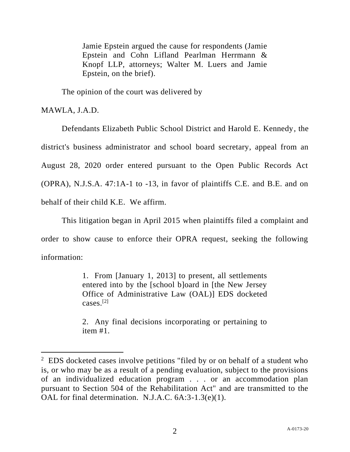Jamie Epstein argued the cause for respondents (Jamie Epstein and Cohn Lifland Pearlman Herrmann & Knopf LLP, attorneys; Walter M. Luers and Jamie Epstein, on the brief).

The opinion of the court was delivered by

MAWLA, J.A.D.

Defendants Elizabeth Public School District and Harold E. Kennedy, the district's business administrator and school board secretary, appeal from an August 28, 2020 order entered pursuant to the Open Public Records Act (OPRA), N.J.S.A. 47:1A-1 to -13, in favor of plaintiffs C.E. and B.E. and on behalf of their child K.E. We affirm.

This litigation began in April 2015 when plaintiffs filed a complaint and order to show cause to enforce their OPRA request, seeking the following information:

> 1. From [January 1, 2013] to present, all settlements entered into by the [school b]oard in [the New Jersey Office of Administrative Law (OAL)] EDS docketed cases.[2]

> 2. Any final decisions incorporating or pertaining to item #1.

 $2$  EDS docketed cases involve petitions "filed by or on behalf of a student who is, or who may be as a result of a pending evaluation, subject to the provisions of an individualized education program . . . or an accommodation plan pursuant to Section 504 of the Rehabilitation Act" and are transmitted to the OAL for final determination. N.J.A.C. 6A:3-1.3(e)(1).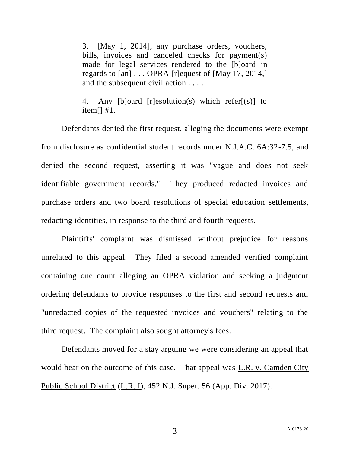3. [May 1, 2014], any purchase orders, vouchers, bills, invoices and canceled checks for payment(s) made for legal services rendered to the [b]oard in regards to [an] . . . OPRA [r]equest of [May 17, 2014,] and the subsequent civil action . . . .

4. Any [b]oard [r]esolution(s) which refer[(s)] to item[] #1.

Defendants denied the first request, alleging the documents were exempt from disclosure as confidential student records under N.J.A.C. 6A:32-7.5, and denied the second request, asserting it was "vague and does not seek identifiable government records." They produced redacted invoices and purchase orders and two board resolutions of special education settlements, redacting identities, in response to the third and fourth requests.

Plaintiffs' complaint was dismissed without prejudice for reasons unrelated to this appeal. They filed a second amended verified complaint containing one count alleging an OPRA violation and seeking a judgment ordering defendants to provide responses to the first and second requests and "unredacted copies of the requested invoices and vouchers" relating to the third request. The complaint also sought attorney's fees.

Defendants moved for a stay arguing we were considering an appeal that would bear on the outcome of this case. That appeal was L.R. v. Camden City Public School District (L.R. I), 452 N.J. Super. 56 (App. Div. 2017).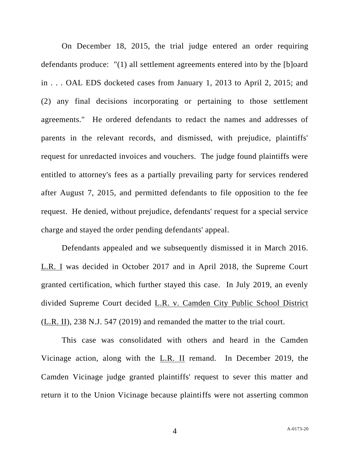On December 18, 2015, the trial judge entered an order requiring defendants produce: "(1) all settlement agreements entered into by the [b]oard in . . . OAL EDS docketed cases from January 1, 2013 to April 2, 2015; and (2) any final decisions incorporating or pertaining to those settlement agreements." He ordered defendants to redact the names and addresses of parents in the relevant records, and dismissed, with prejudice, plaintiffs' request for unredacted invoices and vouchers. The judge found plaintiffs were entitled to attorney's fees as a partially prevailing party for services rendered after August 7, 2015, and permitted defendants to file opposition to the fee request. He denied, without prejudice, defendants' request for a special service charge and stayed the order pending defendants' appeal.

Defendants appealed and we subsequently dismissed it in March 2016. L.R. I was decided in October 2017 and in April 2018, the Supreme Court granted certification, which further stayed this case. In July 2019, an evenly divided Supreme Court decided L.R. v. Camden City Public School District (L.R. II), 238 N.J. 547 (2019) and remanded the matter to the trial court.

This case was consolidated with others and heard in the Camden Vicinage action, along with the L.R. II remand. In December 2019, the Camden Vicinage judge granted plaintiffs' request to sever this matter and return it to the Union Vicinage because plaintiffs were not asserting common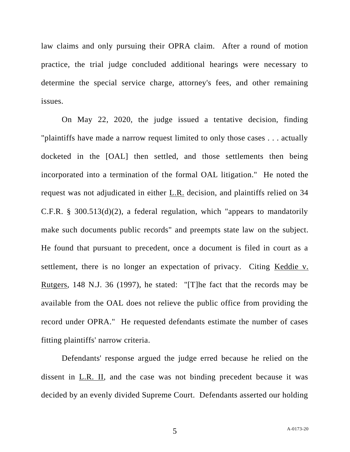law claims and only pursuing their OPRA claim. After a round of motion practice, the trial judge concluded additional hearings were necessary to determine the special service charge, attorney's fees, and other remaining issues.

On May 22, 2020, the judge issued a tentative decision, finding "plaintiffs have made a narrow request limited to only those cases . . . actually docketed in the [OAL] then settled, and those settlements then being incorporated into a termination of the formal OAL litigation." He noted the request was not adjudicated in either L.R. decision, and plaintiffs relied on 34 C.F.R. § 300.513(d)(2), a federal regulation, which "appears to mandatorily make such documents public records" and preempts state law on the subject. He found that pursuant to precedent, once a document is filed in court as a settlement, there is no longer an expectation of privacy. Citing Keddie v. Rutgers, 148 N.J. 36 (1997), he stated: "[T]he fact that the records may be available from the OAL does not relieve the public office from providing the record under OPRA." He requested defendants estimate the number of cases fitting plaintiffs' narrow criteria.

Defendants' response argued the judge erred because he relied on the dissent in L.R. II, and the case was not binding precedent because it was decided by an evenly divided Supreme Court. Defendants asserted our holding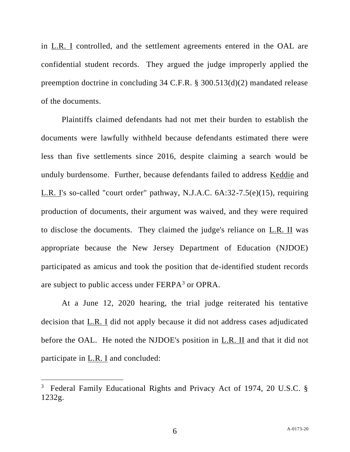in L.R. I controlled, and the settlement agreements entered in the OAL are confidential student records. They argued the judge improperly applied the preemption doctrine in concluding 34 C.F.R. § 300.513(d)(2) mandated release of the documents.

Plaintiffs claimed defendants had not met their burden to establish the documents were lawfully withheld because defendants estimated there were less than five settlements since 2016, despite claiming a search would be unduly burdensome. Further, because defendants failed to address Keddie and L.R. I's so-called "court order" pathway, N.J.A.C. 6A:32-7.5(e)(15), requiring production of documents, their argument was waived, and they were required to disclose the documents. They claimed the judge's reliance on L.R. II was appropriate because the New Jersey Department of Education (NJDOE) participated as amicus and took the position that de-identified student records are subject to public access under FERPA<sup>3</sup> or OPRA.

At a June 12, 2020 hearing, the trial judge reiterated his tentative decision that L.R. I did not apply because it did not address cases adjudicated before the OAL. He noted the NJDOE's position in L.R. II and that it did not participate in L.R. I and concluded:

<sup>&</sup>lt;sup>3</sup> Federal Family Educational Rights and Privacy Act of 1974, 20 U.S.C. § 1232g.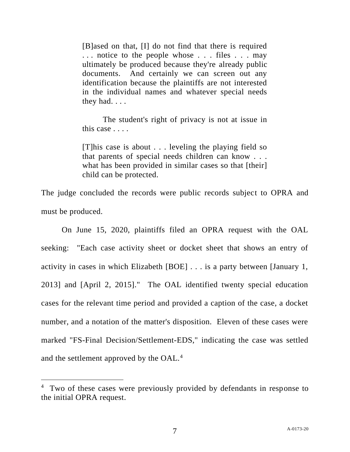[B]ased on that, [I] do not find that there is required . . . notice to the people whose . . . files . . . may ultimately be produced because they're already public documents. And certainly we can screen out any identification because the plaintiffs are not interested in the individual names and whatever special needs they had. . . .

The student's right of privacy is not at issue in this case . . . .

[T]his case is about . . . leveling the playing field so that parents of special needs children can know . . . what has been provided in similar cases so that [their] child can be protected.

The judge concluded the records were public records subject to OPRA and must be produced.

On June 15, 2020, plaintiffs filed an OPRA request with the OAL seeking: "Each case activity sheet or docket sheet that shows an entry of activity in cases in which Elizabeth [BOE] . . . is a party between [January 1, 2013] and [April 2, 2015]." The OAL identified twenty special education cases for the relevant time period and provided a caption of the case, a docket number, and a notation of the matter's disposition. Eleven of these cases were marked "FS-Final Decision/Settlement-EDS," indicating the case was settled and the settlement approved by the OAL.<sup>4</sup>

<sup>&</sup>lt;sup>4</sup> Two of these cases were previously provided by defendants in response to the initial OPRA request.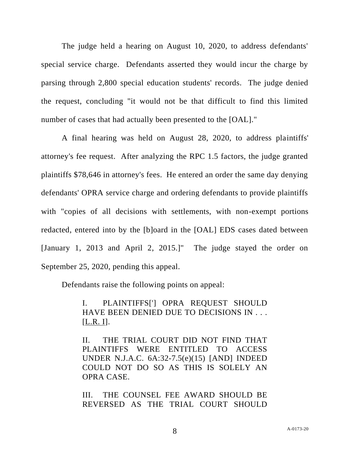The judge held a hearing on August 10, 2020, to address defendants' special service charge. Defendants asserted they would incur the charge by parsing through 2,800 special education students' records. The judge denied the request, concluding "it would not be that difficult to find this limited number of cases that had actually been presented to the [OAL]."

A final hearing was held on August 28, 2020, to address plaintiffs' attorney's fee request. After analyzing the RPC 1.5 factors, the judge granted plaintiffs \$78,646 in attorney's fees. He entered an order the same day denying defendants' OPRA service charge and ordering defendants to provide plaintiffs with "copies of all decisions with settlements, with non-exempt portions redacted, entered into by the [b]oard in the [OAL] EDS cases dated between [January 1, 2013 and April 2, 2015.]" The judge stayed the order on September 25, 2020, pending this appeal.

Defendants raise the following points on appeal:

I. PLAINTIFFS['] OPRA REQUEST SHOULD HAVE BEEN DENIED DUE TO DECISIONS IN . . .  $[\underline{L.R. I}].$ 

II. THE TRIAL COURT DID NOT FIND THAT PLAINTIFFS WERE ENTITLED TO ACCESS UNDER N.J.A.C. 6A:32-7.5(e)(15) [AND] INDEED COULD NOT DO SO AS THIS IS SOLELY AN OPRA CASE.

III. THE COUNSEL FEE AWARD SHOULD BE REVERSED AS THE TRIAL COURT SHOULD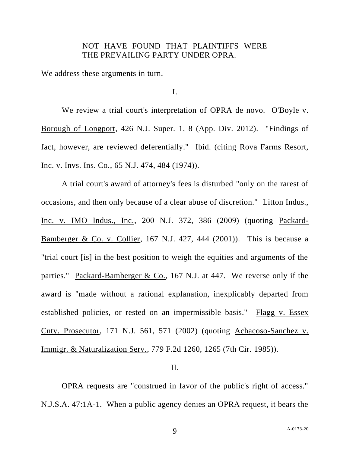## NOT HAVE FOUND THAT PLAINTIFFS WERE THE PREVAILING PARTY UNDER OPRA.

We address these arguments in turn.

I.

We review a trial court's interpretation of OPRA de novo. O'Boyle v. Borough of Longport, 426 N.J. Super. 1, 8 (App. Div. 2012). "Findings of fact, however, are reviewed deferentially." Ibid. (citing Rova Farms Resort, Inc. v. Invs. Ins. Co., 65 N.J. 474, 484 (1974)).

A trial court's award of attorney's fees is disturbed "only on the rarest of occasions, and then only because of a clear abuse of discretion." Litton Indus., Inc. v. IMO Indus., Inc., 200 N.J. 372, 386 (2009) (quoting Packard-Bamberger & Co. v. Collier, 167 N.J. 427, 444 (2001)). This is because a "trial court [is] in the best position to weigh the equities and arguments of the parties." Packard-Bamberger & Co., 167 N.J. at 447. We reverse only if the award is "made without a rational explanation, inexplicably departed from established policies, or rested on an impermissible basis." Flagg v. Essex Cnty. Prosecutor, 171 N.J. 561, 571 (2002) (quoting Achacoso-Sanchez v. Immigr. & Naturalization Serv., 779 F.2d 1260, 1265 (7th Cir. 1985)).

## II.

OPRA requests are "construed in favor of the public's right of access." N.J.S.A. 47:1A-1. When a public agency denies an OPRA request, it bears the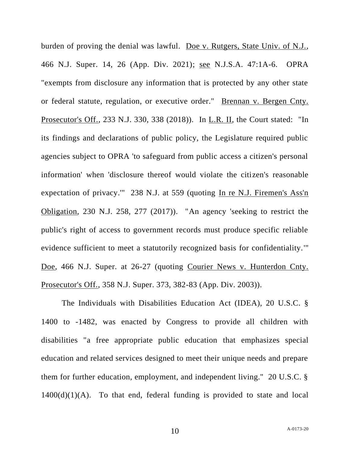burden of proving the denial was lawful. Doe v. Rutgers, State Univ. of N.J., 466 N.J. Super. 14, 26 (App. Div. 2021); see N.J.S.A. 47:1A-6. OPRA "exempts from disclosure any information that is protected by any other state or federal statute, regulation, or executive order." Brennan v. Bergen Cnty. Prosecutor's Off., 233 N.J. 330, 338 (2018)). In L.R. II, the Court stated: "In its findings and declarations of public policy, the Legislature required public agencies subject to OPRA 'to safeguard from public access a citizen's personal information' when 'disclosure thereof would violate the citizen's reasonable expectation of privacy.'" 238 N.J. at 559 (quoting In re N.J. Firemen's Ass'n Obligation, 230 N.J. 258, 277 (2017)). "An agency 'seeking to restrict the public's right of access to government records must produce specific reliable evidence sufficient to meet a statutorily recognized basis for confidentiality.'" Doe, 466 N.J. Super. at 26-27 (quoting Courier News v. Hunterdon Cnty. Prosecutor's Off., 358 N.J. Super. 373, 382-83 (App. Div. 2003)).

The Individuals with Disabilities Education Act (IDEA), 20 U.S.C. § 1400 to -1482, was enacted by Congress to provide all children with disabilities "a free appropriate public education that emphasizes special education and related services designed to meet their unique needs and prepare them for further education, employment, and independent living." 20 U.S.C. §  $1400(d)(1)(A)$ . To that end, federal funding is provided to state and local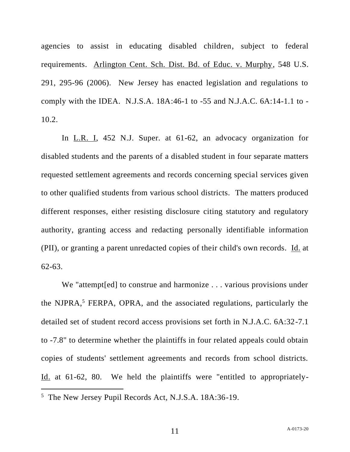agencies to assist in educating disabled children, subject to federal requirements. Arlington Cent. Sch. Dist. Bd. of Educ. v. Murphy, 548 U.S. 291, 295-96 (2006). New Jersey has enacted legislation and regulations to comply with the IDEA. N.J.S.A. 18A:46-1 to -55 and N.J.A.C. 6A:14-1.1 to - 10.2.

In L.R. I, 452 N.J. Super. at 61-62, an advocacy organization for disabled students and the parents of a disabled student in four separate matters requested settlement agreements and records concerning special services given to other qualified students from various school districts. The matters produced different responses, either resisting disclosure citing statutory and regulatory authority, granting access and redacting personally identifiable information (PII), or granting a parent unredacted copies of their child's own records. Id. at 62-63.

We "attempt[ed] to construe and harmonize . . . various provisions under the NJPRA, $5$  FERPA, OPRA, and the associated regulations, particularly the detailed set of student record access provisions set forth in N.J.A.C. 6A:32-7.1 to -7.8" to determine whether the plaintiffs in four related appeals could obtain copies of students' settlement agreements and records from school districts. Id. at 61-62, 80. We held the plaintiffs were "entitled to appropriately-

<sup>5</sup> The New Jersey Pupil Records Act, N.J.S.A. 18A:36-19.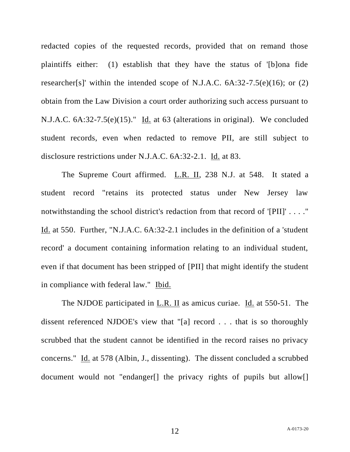redacted copies of the requested records, provided that on remand those plaintiffs either: (1) establish that they have the status of '[b]ona fide researcher[s]' within the intended scope of N.J.A.C.  $6A:32-7.5(e)(16)$ ; or  $(2)$ obtain from the Law Division a court order authorizing such access pursuant to N.J.A.C. 6A:32-7.5(e)(15)." Id. at 63 (alterations in original). We concluded student records, even when redacted to remove PII, are still subject to disclosure restrictions under N.J.A.C. 6A:32-2.1. Id. at 83.

The Supreme Court affirmed. L.R. II, 238 N.J. at 548. It stated a student record "retains its protected status under New Jersey law notwithstanding the school district's redaction from that record of '[PII]' . . . ." Id. at 550. Further, "N.J.A.C. 6A:32-2.1 includes in the definition of a 'student record' a document containing information relating to an individual student, even if that document has been stripped of [PII] that might identify the student in compliance with federal law." Ibid.

The NJDOE participated in L.R. II as amicus curiae. Id. at 550-51. The dissent referenced NJDOE's view that "[a] record . . . that is so thoroughly scrubbed that the student cannot be identified in the record raises no privacy concerns." Id. at 578 (Albin, J., dissenting). The dissent concluded a scrubbed document would not "endanger[] the privacy rights of pupils but allow[]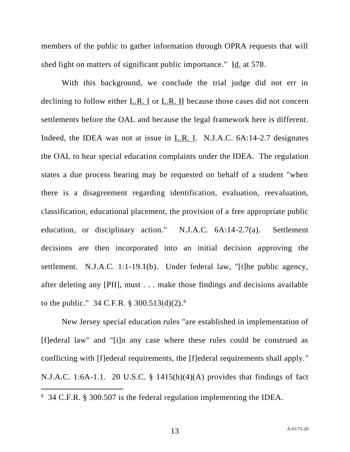members of the public to gather information through OPRA requests that will shed light on matters of significant public importance." Id. at 578.

With this background, we conclude the trial judge did not err in declining to follow either L.R. I or L.R. II because those cases did not concern settlements before the OAL and because the legal framework here is different. Indeed, the IDEA was not at issue in L.R. I. N.J.A.C. 6A:14-2.7 designates the OAL to hear special education complaints under the IDEA. The regulation states a due process hearing may be requested on behalf of a student "when there is a disagreement regarding identification, evaluation, reevaluation, classification, educational placement, the provision of a free appropriate public education, or disciplinary action." N.J.A.C. 6A:14-2.7(a). Settlement decisions are then incorporated into an initial decision approving the settlement. N.J.A.C. 1:1-19.1(b). Under federal law, "[t]he public agency, after deleting any [PII], must . . . make those findings and decisions available to the public." 34 C.F.R. § 300.513(d)(2). 6

New Jersey special education rules "are established in implementation of [f]ederal law" and "[i]n any case where these rules could be construed as conflicting with [f]ederal requirements, the [f]ederal requirements shall apply." N.J.A.C. 1:6A-1.1. 20 U.S.C. § 1415(h)(4)(A) provides that findings of fact

<sup>6</sup> 34 C.F.R. § 300.507 is the federal regulation implementing the IDEA.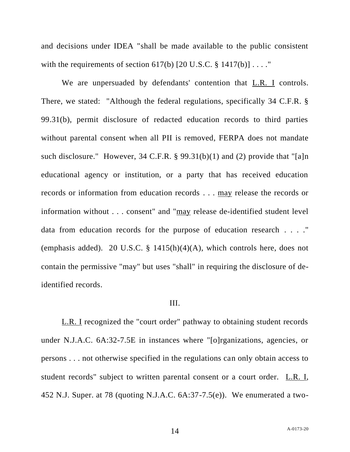and decisions under IDEA "shall be made available to the public consistent with the requirements of section 617(b)  $[20 \text{ U.S.C.} \$ 1417(b)] \ldots$ .

We are unpersuaded by defendants' contention that L.R. I controls. There, we stated: "Although the federal regulations, specifically 34 C.F.R. § 99.31(b), permit disclosure of redacted education records to third parties without parental consent when all PII is removed, FERPA does not mandate such disclosure." However, 34 C.F.R. § 99.31(b)(1) and (2) provide that "[a]n educational agency or institution, or a party that has received education records or information from education records . . . may release the records or information without . . . consent" and "may release de-identified student level data from education records for the purpose of education research . . . ." (emphasis added). 20 U.S.C. §  $1415(h)(4)(A)$ , which controls here, does not contain the permissive "may" but uses "shall" in requiring the disclosure of deidentified records.

#### III.

L.R. I recognized the "court order" pathway to obtaining student records under N.J.A.C. 6A:32-7.5E in instances where "[o]rganizations, agencies, or persons . . . not otherwise specified in the regulations can only obtain access to student records" subject to written parental consent or a court order. L.R. I, 452 N.J. Super. at 78 (quoting N.J.A.C. 6A:37-7.5(e)). We enumerated a two-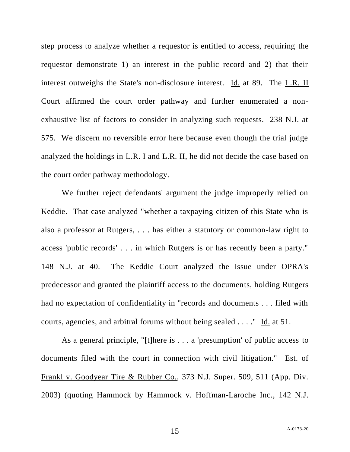step process to analyze whether a requestor is entitled to access, requiring the requestor demonstrate 1) an interest in the public record and 2) that their interest outweighs the State's non-disclosure interest. Id. at 89. The L.R. II Court affirmed the court order pathway and further enumerated a nonexhaustive list of factors to consider in analyzing such requests. 238 N.J. at 575. We discern no reversible error here because even though the trial judge analyzed the holdings in L.R. I and L.R. II, he did not decide the case based on the court order pathway methodology.

We further reject defendants' argument the judge improperly relied on Keddie. That case analyzed "whether a taxpaying citizen of this State who is also a professor at Rutgers, . . . has either a statutory or common-law right to access 'public records' . . . in which Rutgers is or has recently been a party." 148 N.J. at 40. The Keddie Court analyzed the issue under OPRA's predecessor and granted the plaintiff access to the documents, holding Rutgers had no expectation of confidentiality in "records and documents . . . filed with courts, agencies, and arbitral forums without being sealed . . . ." Id. at 51.

As a general principle, "[t]here is . . . a 'presumption' of public access to documents filed with the court in connection with civil litigation." Est. of Frankl v. Goodyear Tire & Rubber Co., 373 N.J. Super. 509, 511 (App. Div. 2003) (quoting Hammock by Hammock v. Hoffman-Laroche Inc., 142 N.J.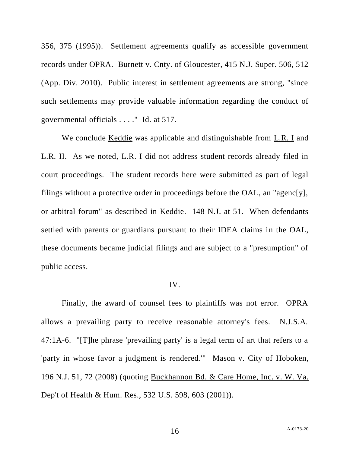356, 375 (1995)). Settlement agreements qualify as accessible government records under OPRA. Burnett v. Cnty. of Gloucester, 415 N.J. Super. 506, 512 (App. Div. 2010). Public interest in settlement agreements are strong, "since such settlements may provide valuable information regarding the conduct of governmental officials . . . ." Id. at 517.

We conclude Keddie was applicable and distinguishable from L.R. I and L.R. II. As we noted, L.R. I did not address student records already filed in court proceedings. The student records here were submitted as part of legal filings without a protective order in proceedings before the OAL, an "agenc[y], or arbitral forum" as described in Keddie. 148 N.J. at 51. When defendants settled with parents or guardians pursuant to their IDEA claims in the OAL, these documents became judicial filings and are subject to a "presumption" of public access.

### IV.

Finally, the award of counsel fees to plaintiffs was not error. OPRA allows a prevailing party to receive reasonable attorney's fees. N.J.S.A. 47:1A-6. "[T]he phrase 'prevailing party' is a legal term of art that refers to a 'party in whose favor a judgment is rendered.'" Mason v. City of Hoboken, 196 N.J. 51, 72 (2008) (quoting Buckhannon Bd. & Care Home, Inc. v. W. Va. Dep't of Health & Hum. Res., 532 U.S. 598, 603 (2001)).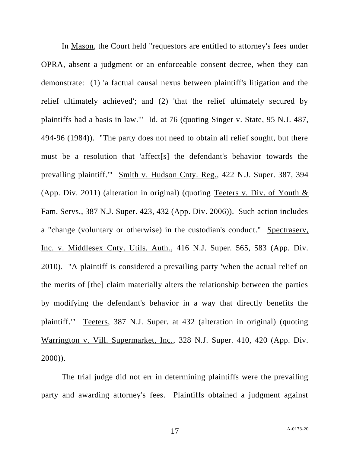In Mason, the Court held "requestors are entitled to attorney's fees under OPRA, absent a judgment or an enforceable consent decree, when they can demonstrate: (1) 'a factual causal nexus between plaintiff's litigation and the relief ultimately achieved'; and (2) 'that the relief ultimately secured by plaintiffs had a basis in law." Id. at 76 (quoting Singer v. State, 95 N.J. 487, 494-96 (1984)). "The party does not need to obtain all relief sought, but there must be a resolution that 'affect[s] the defendant's behavior towards the prevailing plaintiff.'" Smith v. Hudson Cnty. Reg., 422 N.J. Super. 387, 394 (App. Div. 2011) (alteration in original) (quoting Teeters v. Div. of Youth & Fam. Servs., 387 N.J. Super. 423, 432 (App. Div. 2006)). Such action includes a "change (voluntary or otherwise) in the custodian's conduct." Spectraserv, Inc. v. Middlesex Cnty. Utils. Auth., 416 N.J. Super. 565, 583 (App. Div. 2010). "A plaintiff is considered a prevailing party 'when the actual relief on the merits of [the] claim materially alters the relationship between the parties by modifying the defendant's behavior in a way that directly benefits the plaintiff.'" Teeters, 387 N.J. Super. at 432 (alteration in original) (quoting Warrington v. Vill. Supermarket, Inc., 328 N.J. Super. 410, 420 (App. Div. 2000)).

The trial judge did not err in determining plaintiffs were the prevailing party and awarding attorney's fees. Plaintiffs obtained a judgment against